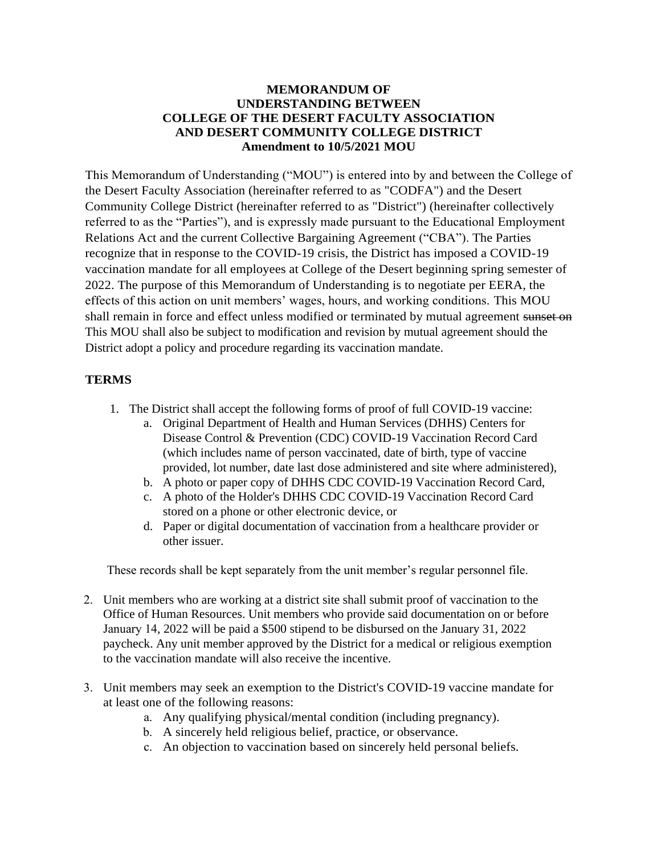## **MEMORANDUM OF UNDERSTANDING BETWEEN COLLEGE OF THE DESERT FACULTY ASSOCIATION AND DESERT COMMUNITY COLLEGE DISTRICT Amendment to 10/5/2021 MOU**

This Memorandum of Understanding ("MOU") is entered into by and between the College of the Desert Faculty Association (hereinafter referred to as "CODFA") and the Desert Community College District (hereinafter referred to as "District") (hereinafter collectively referred to as the "Parties"), and is expressly made pursuant to the Educational Employment Relations Act and the current Collective Bargaining Agreement ("CBA"). The Parties recognize that in response to the COVID-19 crisis, the District has imposed a COVID-19 vaccination mandate for all employees at College of the Desert beginning spring semester of 2022. The purpose of this Memorandum of Understanding is to negotiate per EERA, the effects of this action on unit members' wages, hours, and working conditions. This MOU shall remain in force and effect unless modified or terminated by mutual agreement sunset on This MOU shall also be subject to modification and revision by mutual agreement should the District adopt a policy and procedure regarding its vaccination mandate.

## **TERMS**

- 1. The District shall accept the following forms of proof of full COVID-19 vaccine:
	- a. Original Department of Health and Human Services (DHHS) Centers for Disease Control & Prevention (CDC) COVID-19 Vaccination Record Card (which includes name of person vaccinated, date of birth, type of vaccine provided, lot number, date last dose administered and site where administered),
	- b. A photo or paper copy of DHHS CDC COVID-19 Vaccination Record Card,
	- c. A photo of the Holder's DHHS CDC COVID-19 Vaccination Record Card stored on a phone or other electronic device, or
	- d. Paper or digital documentation of vaccination from a healthcare provider or other issuer.

These records shall be kept separately from the unit member's regular personnel file.

- 2. Unit members who are working at a district site shall submit proof of vaccination to the Office of Human Resources. Unit members who provide said documentation on or before January 14, 2022 will be paid a \$500 stipend to be disbursed on the January 31, 2022 paycheck. Any unit member approved by the District for a medical or religious exemption to the vaccination mandate will also receive the incentive.
- 3. Unit members may seek an exemption to the District's COVID-19 vaccine mandate for at least one of the following reasons:
	- a. Any qualifying physical/mental condition (including pregnancy).
	- b. A sincerely held religious belief, practice, or observance.
	- c. An objection to vaccination based on sincerely held personal beliefs.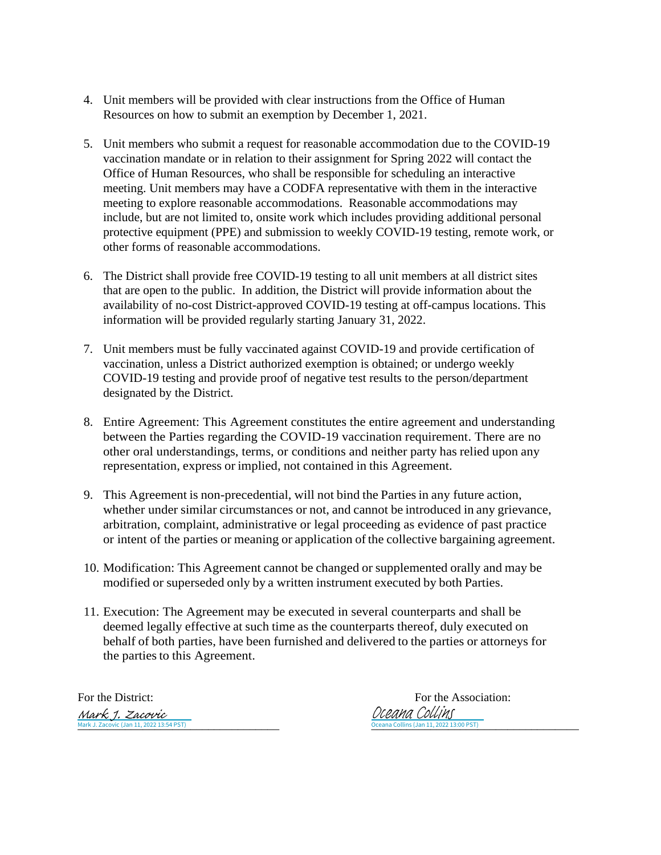- 4. Unit members will be provided with clear instructions from the Office of Human Resources on how to submit an exemption by December 1, 2021.
- 5. Unit members who submit a request for reasonable accommodation due to the COVID-19 vaccination mandate or in relation to their assignment for Spring 2022 will contact the Office of Human Resources, who shall be responsible for scheduling an interactive meeting. Unit members may have a CODFA representative with them in the interactive meeting to explore reasonable accommodations. Reasonable accommodations may include, but are not limited to, onsite work which includes providing additional personal protective equipment (PPE) and submission to weekly COVID-19 testing, remote work, or other forms of reasonable accommodations.
- 6. The District shall provide free COVID-19 testing to all unit members at all district sites that are open to the public. In addition, the District will provide information about the availability of no-cost District-approved COVID-19 testing at off-campus locations. This information will be provided regularly starting January 31, 2022.
- 7. Unit members must be fully vaccinated against COVID-19 and provide certification of vaccination, unless a District authorized exemption is obtained; or undergo weekly COVID-19 testing and provide proof of negative test results to the person/department designated by the District.
- 8. Entire Agreement: This Agreement constitutes the entire agreement and understanding between the Parties regarding the COVID-19 vaccination requirement. There are no other oral understandings, terms, or conditions and neither party has relied upon any representation, express or implied, not contained in this Agreement.
- 9. This Agreement is non-precedential, will not bind the Partiesin any future action, whether under similar circumstances or not, and cannot be introduced in any grievance, arbitration, complaint, administrative or legal proceeding as evidence of past practice or intent of the parties or meaning or application ofthe collective bargaining agreement.
- 10. Modification: This Agreement cannot be changed or supplemented orally and may be modified or superseded only by a written instrument executed by both Parties.
- 11. Execution: The Agreement may be executed in several counterparts and shall be deemed legally effective at such time as the counterparts thereof, duly executed on behalf of both parties, have been furnished and delivered to the parties or attorneys for the parties to this Agreement.

Mark J. Zacovic

For the District: For the Association: Mark J. Zacovic (Jan 11, 2022 13:54 PST) **Mark J. Zacovic (Jan 11, 2022 13:00 PST)**  $OCEAMA *Collins*  
Occana Collins (Jan 11, 2022 13:00~~PST~~)$ </u>